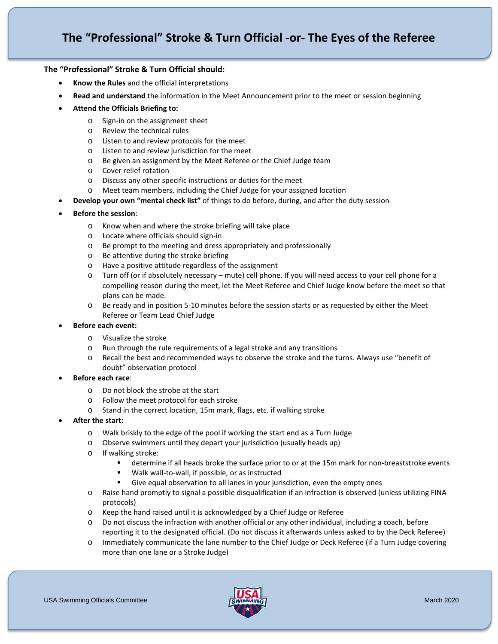### **The "Professional" Stroke & Turn Official should:**

- **Know the Rules** and the official interpretations
- **Read and understand** the information in the Meet Announcement prior to the meet or session beginning

### • **Attend the Officials Briefing to:**

- o Sign-in on the assignment sheet
- o Review the technical rules
- o Listen to and review protocols for the meet
- o Listen to and review jurisdiction for the meet
- o Be given an assignment by the Meet Referee or the Chief Judge team
- o Cover relief rotation
- o Discuss any other specific instructions or duties for the meet
- o Meet team members, including the Chief Judge for your assigned location
- **Develop your own "mental check list"** of things to do before, during, and after the duty session
- **Before the session**:
	- o Know when and where the stroke briefing will take place
	- o Locate where officials should sign-in
	- o Be prompt to the meeting and dress appropriately and professionally
	- o Be attentive during the stroke briefing
	- o Have a positive attitude regardless of the assignment
	- o Turn off (or if absolutely necessary mute) cell phone. If you will need access to your cell phone for a compelling reason during the meet, let the Meet Referee and Chief Judge know before the meet so that plans can be made.
	- o Be ready and in position 5-10 minutes before the session starts or as requested by either the Meet Referee or Team Lead Chief Judge
- **Before each event:**
	- o Visualize the stroke
	- o Run through the rule requirements of a legal stroke and any transitions
	- o Recall the best and recommended ways to observe the stroke and the turns. Always use "benefit of doubt" observation protocol
- **Before each race**:
	- o Do not block the strobe at the start
	- o Follow the meet protocol for each stroke
	- o Stand in the correct location, 15m mark, flags, etc. if walking stroke
- **After the start:**
	- o Walk briskly to the edge of the pool if working the start end as a Turn Judge
	- o Observe swimmers until they depart your jurisdiction (usually heads up)
	- o If walking stroke:
		- determine if all heads broke the surface prior to or at the 15m mark for non-breaststroke events
		- Walk wall-to-wall, if possible, or as instructed
		- Give equal observation to all lanes in your jurisdiction, even the empty ones
	- o Raise hand promptly to signal a possible disqualification if an infraction is observed (unless utilizing FINA protocols)
	- o Keep the hand raised until it is acknowledged by a Chief Judge or Referee
	- o Do not discuss the infraction with another official or any other individual, including a coach, before reporting it to the designated official. (Do not discuss it afterwards unless asked to by the Deck Referee)
	- o Immediately communicate the lane number to the Chief Judge or Deck Referee (if a Turn Judge covering more than one lane or a Stroke Judge)

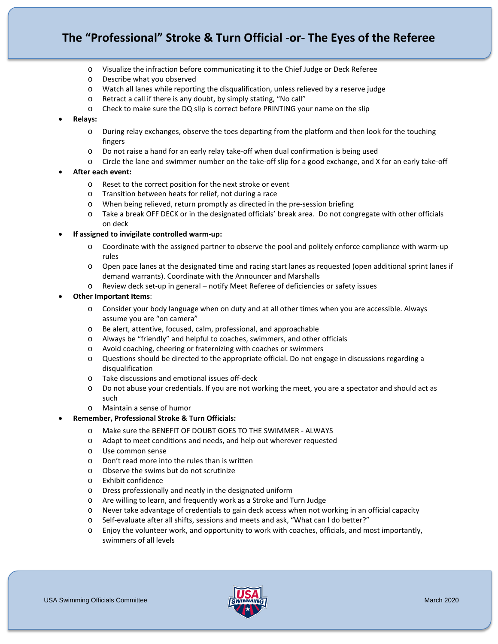# **The "Professional" Stroke & Turn Official -or- The Eyes of the Referee**

- o Visualize the infraction before communicating it to the Chief Judge or Deck Referee
- o Describe what you observed
- o Watch all lanes while reporting the disqualification, unless relieved by a reserve judge
- o Retract a call if there is any doubt, by simply stating, "No call"
- o Check to make sure the DQ slip is correct before PRINTING your name on the slip
- **Relays:**
	- o During relay exchanges, observe the toes departing from the platform and then look for the touching fingers
	- o Do not raise a hand for an early relay take-off when dual confirmation is being used
	- o Circle the lane and swimmer number on the take-off slip for a good exchange, and X for an early take-off
- **After each event:**
	- o Reset to the correct position for the next stroke or event
	- o Transition between heats for relief, not during a race
	- o When being relieved, return promptly as directed in the pre-session briefing
	- o Take a break OFF DECK or in the designated officials' break area. Do not congregate with other officials on deck
- **If assigned to invigilate controlled warm-up:**
	- o Coordinate with the assigned partner to observe the pool and politely enforce compliance with warm-up rules
	- o Open pace lanes at the designated time and racing start lanes as requested (open additional sprint lanes if demand warrants). Coordinate with the Announcer and Marshalls
	- o Review deck set-up in general notify Meet Referee of deficiencies or safety issues

#### • **Other Important Items**:

- o Consider your body language when on duty and at all other times when you are accessible. Always assume you are "on camera"
- o Be alert, attentive, focused, calm, professional, and approachable
- o Always be "friendly" and helpful to coaches, swimmers, and other officials
- o Avoid coaching, cheering or fraternizing with coaches or swimmers
- o Questions should be directed to the appropriate official. Do not engage in discussions regarding a disqualification
- o Take discussions and emotional issues off-deck
- o Do not abuse your credentials. If you are not working the meet, you are a spectator and should act as such
- o Maintain a sense of humor
- **Remember, Professional Stroke & Turn Officials:**
	- o Make sure the BENEFIT OF DOUBT GOES TO THE SWIMMER ALWAYS
	- o Adapt to meet conditions and needs, and help out wherever requested
	- o Use common sense
	- o Don't read more into the rules than is written
	- o Observe the swims but do not scrutinize
	- o Exhibit confidence
	- o Dress professionally and neatly in the designated uniform
	- o Are willing to learn, and frequently work as a Stroke and Turn Judge
	- o Never take advantage of credentials to gain deck access when not working in an official capacity
	- o Self-evaluate after all shifts, sessions and meets and ask, "What can I do better?"
	- o Enjoy the volunteer work, and opportunity to work with coaches, officials, and most importantly, swimmers of all levels